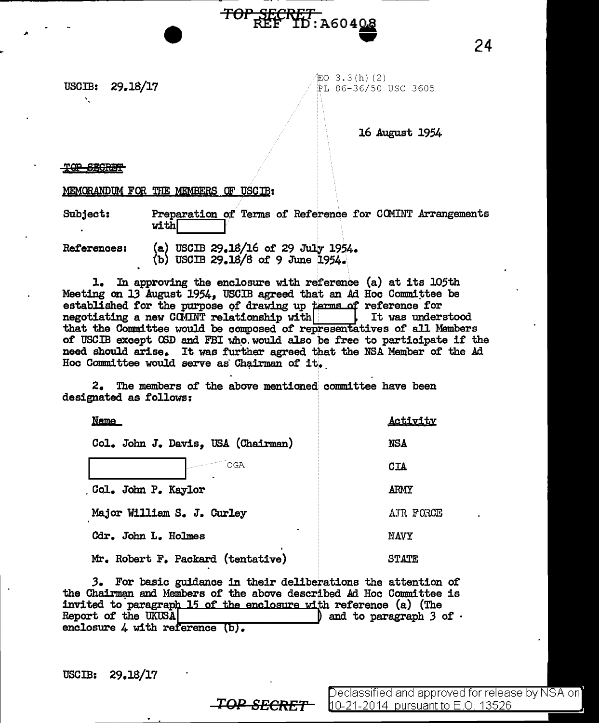## usom: 29.18/17

 $EO$  3.3 $(h)$  (2) PL 86-36/50 USC 3605

**e** 

16 August 1954

SEGRET

./I

..

## MEMORANDUM FOR TRE MEMBERS OF USOIB:

Subject: Preparation of Terms of Reference for OOMINT Arrangements with

*TOPJtfRfjf* A6 O 4 g.a

References: (a) USCIB 29.18/16 of 29 July 1954. (b) USCIB 29.18/8 of 9 June 1954.

1. In approving the enclosure with reference (a) at its 105th Meeting on 13 August 1954, USCIB agreed that an Ad Hoc Committee be established for the purpose of drawing up terms of reference for negotiating a new COMINT relationship with  $\vert$  It was understood negotiating a new COMINT relationship with  $||$ that the Committee would be composed of representatives of all Members of USCIB except OSD and FBI who would also be free to participate if the need should arise. It was further agreed that the NSA Member of the Ad Hoc Committee would serve as Chairman of it.

2. The members of the above mentioned committee have been designated as follows:

| <u>Name</u>                        | <u>Activity</u> |
|------------------------------------|-----------------|
| Col. John J. Davis, USA (Chairman) | <b>NSA</b>      |
| <b>OGA</b>                         | CIA             |
| Col. John P. Kaylor                | ARMY            |
| Major William S. J. Curley         | AJR FORCE       |
| Cdr. John L. Holmes                | <b>NAVY</b>     |
| Mr. Robert F. Packard (tentative)  | <b>STATE</b>    |

*3.* For basic guidance in their deliberations the attention of the Chairman and Members of the above described Ad Hoc Committee is invited to paragraph 15 of the enclosure with reference (a) (The Report of the UKUSA D and to paragraph 3 of · enclosure 4 with reference (b).

usom: 29.18/17

24